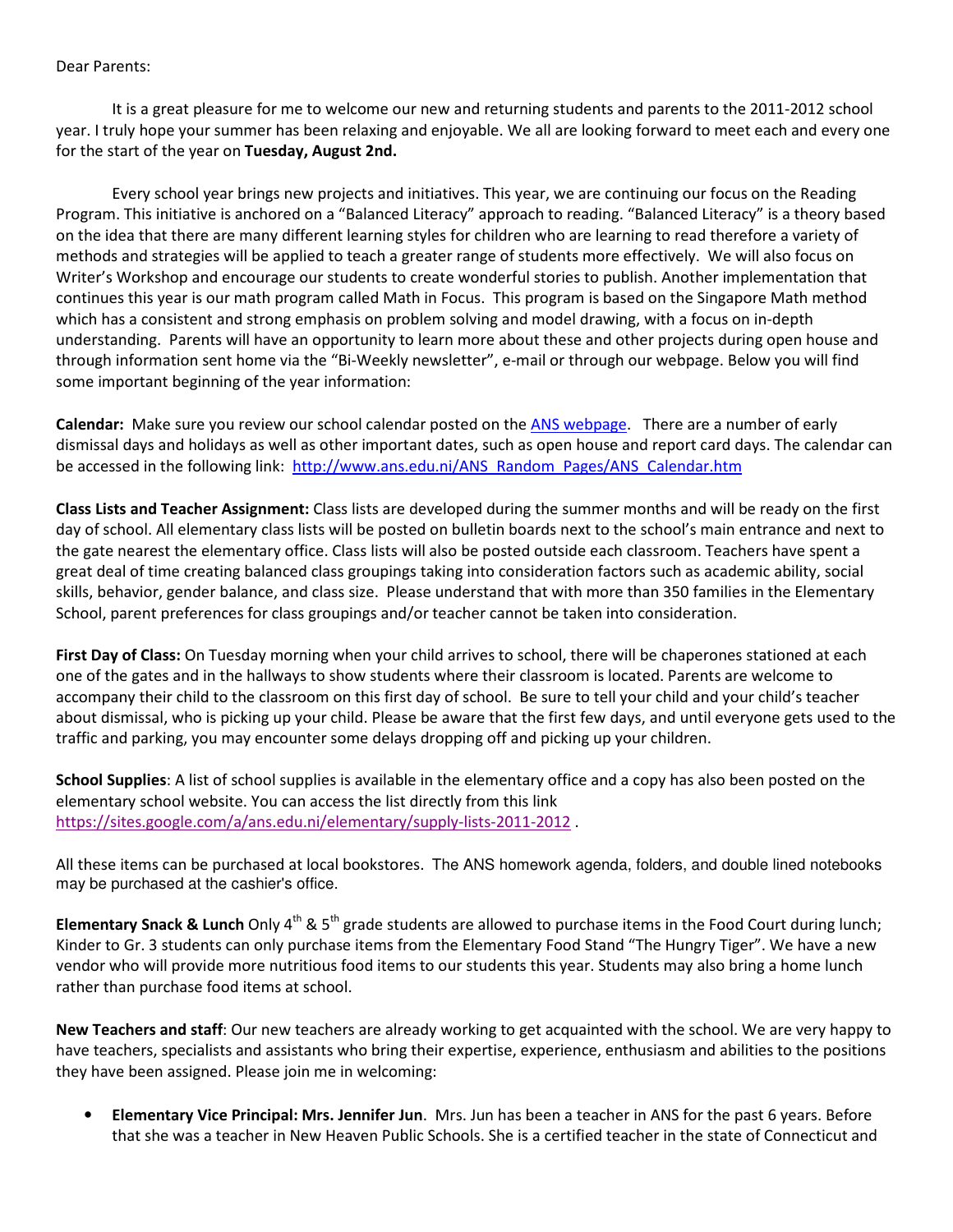## Dear Parents:

It is a great pleasure for me to welcome our new and returning students and parents to the 2011-2012 school year. I truly hope your summer has been relaxing and enjoyable. We all are looking forward to meet each and every one for the start of the year on Tuesday, August 2nd.

Every school year brings new projects and initiatives. This year, we are continuing our focus on the Reading Program. This initiative is anchored on a "Balanced Literacy" approach to reading. "Balanced Literacy" is a theory based on the idea that there are many different learning styles for children who are learning to read therefore a variety of methods and strategies will be applied to teach a greater range of students more effectively. We will also focus on Writer's Workshop and encourage our students to create wonderful stories to publish. Another implementation that continues this year is our math program called Math in Focus. This program is based on the Singapore Math method which has a consistent and strong emphasis on problem solving and model drawing, with a focus on in-depth understanding. Parents will have an opportunity to learn more about these and other projects during open house and through information sent home via the "Bi-Weekly newsletter", e-mail or through our webpage. Below you will find some important beginning of the year information:

Calendar: Make sure you review our school calendar posted on the ANS webpage. There are a number of early dismissal days and holidays as well as other important dates, such as open house and report card days. The calendar can be accessed in the following link: http://www.ans.edu.ni/ANS\_Random\_Pages/ANS\_Calendar.htm

Class Lists and Teacher Assignment: Class lists are developed during the summer months and will be ready on the first day of school. All elementary class lists will be posted on bulletin boards next to the school's main entrance and next to the gate nearest the elementary office. Class lists will also be posted outside each classroom. Teachers have spent a great deal of time creating balanced class groupings taking into consideration factors such as academic ability, social skills, behavior, gender balance, and class size. Please understand that with more than 350 families in the Elementary School, parent preferences for class groupings and/or teacher cannot be taken into consideration.

First Day of Class: On Tuesday morning when your child arrives to school, there will be chaperones stationed at each one of the gates and in the hallways to show students where their classroom is located. Parents are welcome to accompany their child to the classroom on this first day of school. Be sure to tell your child and your child's teacher about dismissal, who is picking up your child. Please be aware that the first few days, and until everyone gets used to the traffic and parking, you may encounter some delays dropping off and picking up your children.

School Supplies: A list of school supplies is available in the elementary office and a copy has also been posted on the elementary school website. You can access the list directly from this link https://sites.google.com/a/ans.edu.ni/elementary/supply-lists-2011-2012 .

All these items can be purchased at local bookstores. The ANS homework agenda, folders, and double lined notebooks may be purchased at the cashier's office.

Elementary Snack & Lunch Only  $4^{th}$  & 5<sup>th</sup> grade students are allowed to purchase items in the Food Court during lunch; Kinder to Gr. 3 students can only purchase items from the Elementary Food Stand "The Hungry Tiger". We have a new vendor who will provide more nutritious food items to our students this year. Students may also bring a home lunch rather than purchase food items at school.

New Teachers and staff: Our new teachers are already working to get acquainted with the school. We are very happy to have teachers, specialists and assistants who bring their expertise, experience, enthusiasm and abilities to the positions they have been assigned. Please join me in welcoming:

• Elementary Vice Principal: Mrs. Jennifer Jun. Mrs. Jun has been a teacher in ANS for the past 6 years. Before that she was a teacher in New Heaven Public Schools. She is a certified teacher in the state of Connecticut and